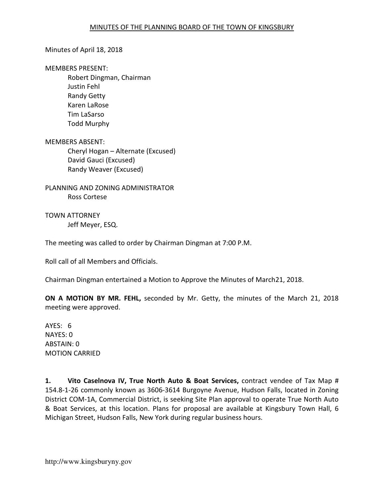### Minutes of April 18, 2018

#### MEMBERS PRESENT:

Robert Dingman, Chairman Justin Fehl Randy Getty Karen LaRose Tim LaSarso Todd Murphy

MEMBERS ABSENT: Cheryl Hogan – Alternate (Excused) David Gauci (Excused) Randy Weaver (Excused)

PLANNING AND ZONING ADMINISTRATOR Ross Cortese

TOWN ATTORNEY Jeff Meyer, ESQ.

The meeting was called to order by Chairman Dingman at 7:00 P.M.

Roll call of all Members and Officials.

Chairman Dingman entertained a Motion to Approve the Minutes of March21, 2018.

ON A MOTION BY MR. FEHL, seconded by Mr. Getty, the minutes of the March 21, 2018 meeting were approved.

AYES: 6 NAYES: 0 ABSTAIN: 0 MOTION CARRIED

1. Vito Caselnova IV, True North Auto & Boat Services, contract vendee of Tax Map # 154.8-1-26 commonly known as 3606-3614 Burgoyne Avenue, Hudson Falls, located in Zoning District COM-1A, Commercial District, is seeking Site Plan approval to operate True North Auto & Boat Services, at this location. Plans for proposal are available at Kingsbury Town Hall, 6 Michigan Street, Hudson Falls, New York during regular business hours.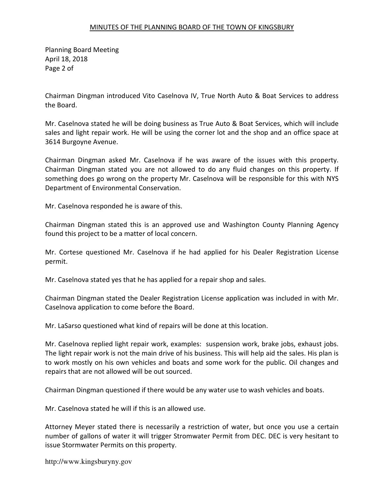Planning Board Meeting April 18, 2018 Page 2 of

Chairman Dingman introduced Vito Caselnova IV, True North Auto & Boat Services to address the Board.

Mr. Caselnova stated he will be doing business as True Auto & Boat Services, which will include sales and light repair work. He will be using the corner lot and the shop and an office space at 3614 Burgoyne Avenue.

Chairman Dingman asked Mr. Caselnova if he was aware of the issues with this property. Chairman Dingman stated you are not allowed to do any fluid changes on this property. If something does go wrong on the property Mr. Caselnova will be responsible for this with NYS Department of Environmental Conservation.

Mr. Caselnova responded he is aware of this.

Chairman Dingman stated this is an approved use and Washington County Planning Agency found this project to be a matter of local concern.

Mr. Cortese questioned Mr. Caselnova if he had applied for his Dealer Registration License permit.

Mr. Caselnova stated yes that he has applied for a repair shop and sales.

Chairman Dingman stated the Dealer Registration License application was included in with Mr. Caselnova application to come before the Board.

Mr. LaSarso questioned what kind of repairs will be done at this location.

Mr. Caselnova replied light repair work, examples: suspension work, brake jobs, exhaust jobs. The light repair work is not the main drive of his business. This will help aid the sales. His plan is to work mostly on his own vehicles and boats and some work for the public. Oil changes and repairs that are not allowed will be out sourced.

Chairman Dingman questioned if there would be any water use to wash vehicles and boats.

Mr. Caselnova stated he will if this is an allowed use.

Attorney Meyer stated there is necessarily a restriction of water, but once you use a certain number of gallons of water it will trigger Stromwater Permit from DEC. DEC is very hesitant to issue Stormwater Permits on this property.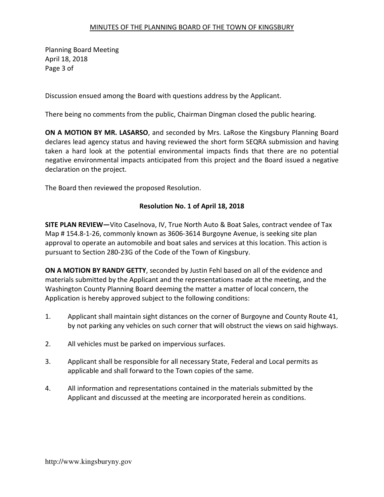Planning Board Meeting April 18, 2018 Page 3 of

Discussion ensued among the Board with questions address by the Applicant.

There being no comments from the public, Chairman Dingman closed the public hearing.

ON A MOTION BY MR. LASARSO, and seconded by Mrs. LaRose the Kingsbury Planning Board declares lead agency status and having reviewed the short form SEQRA submission and having taken a hard look at the potential environmental impacts finds that there are no potential negative environmental impacts anticipated from this project and the Board issued a negative declaration on the project.

The Board then reviewed the proposed Resolution.

## Resolution No. 1 of April 18, 2018

SITE PLAN REVIEW—Vito Caselnova, IV, True North Auto & Boat Sales, contract vendee of Tax Map # 154.8-1-26, commonly known as 3606-3614 Burgoyne Avenue, is seeking site plan approval to operate an automobile and boat sales and services at this location. This action is pursuant to Section 280-23G of the Code of the Town of Kingsbury.

ON A MOTION BY RANDY GETTY, seconded by Justin Fehl based on all of the evidence and materials submitted by the Applicant and the representations made at the meeting, and the Washington County Planning Board deeming the matter a matter of local concern, the Application is hereby approved subject to the following conditions:

- 1. Applicant shall maintain sight distances on the corner of Burgoyne and County Route 41, by not parking any vehicles on such corner that will obstruct the views on said highways.
- 2. All vehicles must be parked on impervious surfaces.
- 3. Applicant shall be responsible for all necessary State, Federal and Local permits as applicable and shall forward to the Town copies of the same.
- 4. All information and representations contained in the materials submitted by the Applicant and discussed at the meeting are incorporated herein as conditions.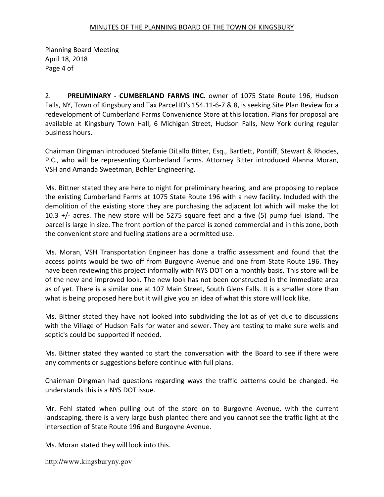Planning Board Meeting April 18, 2018 Page 4 of

2. PRELIMINARY - CUMBERLAND FARMS INC. owner of 1075 State Route 196, Hudson Falls, NY, Town of Kingsbury and Tax Parcel ID's 154.11-6-7 & 8, is seeking Site Plan Review for a redevelopment of Cumberland Farms Convenience Store at this location. Plans for proposal are available at Kingsbury Town Hall, 6 Michigan Street, Hudson Falls, New York during regular business hours.

Chairman Dingman introduced Stefanie DiLallo Bitter, Esq., Bartlett, Pontiff, Stewart & Rhodes, P.C., who will be representing Cumberland Farms. Attorney Bitter introduced Alanna Moran, VSH and Amanda Sweetman, Bohler Engineering.

Ms. Bittner stated they are here to night for preliminary hearing, and are proposing to replace the existing Cumberland Farms at 1075 State Route 196 with a new facility. Included with the demolition of the existing store they are purchasing the adjacent lot which will make the lot 10.3 +/- acres. The new store will be 5275 square feet and a five (5) pump fuel island. The parcel is large in size. The front portion of the parcel is zoned commercial and in this zone, both the convenient store and fueling stations are a permitted use.

Ms. Moran, VSH Transportation Engineer has done a traffic assessment and found that the access points would be two off from Burgoyne Avenue and one from State Route 196. They have been reviewing this project informally with NYS DOT on a monthly basis. This store will be of the new and improved look. The new look has not been constructed in the immediate area as of yet. There is a similar one at 107 Main Street, South Glens Falls. It is a smaller store than what is being proposed here but it will give you an idea of what this store will look like.

Ms. Bittner stated they have not looked into subdividing the lot as of yet due to discussions with the Village of Hudson Falls for water and sewer. They are testing to make sure wells and septic's could be supported if needed.

Ms. Bittner stated they wanted to start the conversation with the Board to see if there were any comments or suggestions before continue with full plans.

Chairman Dingman had questions regarding ways the traffic patterns could be changed. He understands this is a NYS DOT issue.

Mr. Fehl stated when pulling out of the store on to Burgoyne Avenue, with the current landscaping, there is a very large bush planted there and you cannot see the traffic light at the intersection of State Route 196 and Burgoyne Avenue.

Ms. Moran stated they will look into this.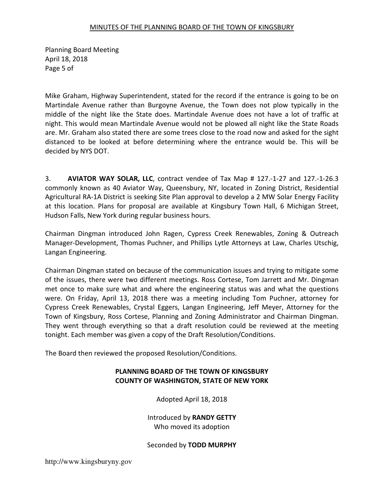Planning Board Meeting April 18, 2018 Page 5 of

Mike Graham, Highway Superintendent, stated for the record if the entrance is going to be on Martindale Avenue rather than Burgoyne Avenue, the Town does not plow typically in the middle of the night like the State does. Martindale Avenue does not have a lot of traffic at night. This would mean Martindale Avenue would not be plowed all night like the State Roads are. Mr. Graham also stated there are some trees close to the road now and asked for the sight distanced to be looked at before determining where the entrance would be. This will be decided by NYS DOT.

3. AVIATOR WAY SOLAR, LLC, contract vendee of Tax Map # 127.-1-27 and 127.-1-26.3 commonly known as 40 Aviator Way, Queensbury, NY, located in Zoning District, Residential Agricultural RA-1A District is seeking Site Plan approval to develop a 2 MW Solar Energy Facility at this location. Plans for proposal are available at Kingsbury Town Hall, 6 Michigan Street, Hudson Falls, New York during regular business hours.

Chairman Dingman introduced John Ragen, Cypress Creek Renewables, Zoning & Outreach Manager-Development, Thomas Puchner, and Phillips Lytle Attorneys at Law, Charles Utschig, Langan Engineering.

Chairman Dingman stated on because of the communication issues and trying to mitigate some of the issues, there were two different meetings. Ross Cortese, Tom Jarrett and Mr. Dingman met once to make sure what and where the engineering status was and what the questions were. On Friday, April 13, 2018 there was a meeting including Tom Puchner, attorney for Cypress Creek Renewables, Crystal Eggers, Langan Engineering, Jeff Meyer, Attorney for the Town of Kingsbury, Ross Cortese, Planning and Zoning Administrator and Chairman Dingman. They went through everything so that a draft resolution could be reviewed at the meeting tonight. Each member was given a copy of the Draft Resolution/Conditions.

The Board then reviewed the proposed Resolution/Conditions.

## PLANNING BOARD OF THE TOWN OF KINGSBURY COUNTY OF WASHINGTON, STATE OF NEW YORK

Adopted April 18, 2018

Introduced by RANDY GETTY Who moved its adoption

Seconded by TODD MURPHY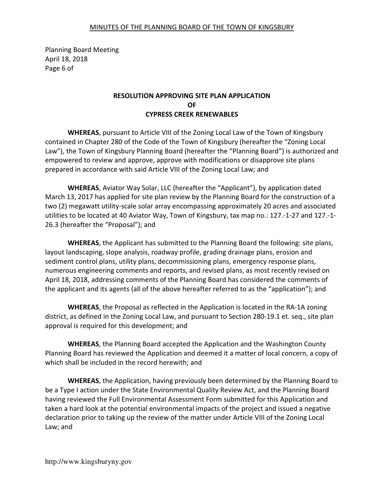Planning Board Meeting April 18, 2018 Page 6 of

# RESOLUTION APPROVING SITE PLAN APPLICATION OF CYPRESS CREEK RENEWABLES

WHEREAS, pursuant to Article VIII of the Zoning Local Law of the Town of Kingsbury contained in Chapter 280 of the Code of the Town of Kingsbury (hereafter the "Zoning Local Law"), the Town of Kingsbury Planning Board (hereafter the "Planning Board") is authorized and empowered to review and approve, approve with modifications or disapprove site plans prepared in accordance with said Article VIII of the Zoning Local Law; and

WHEREAS, Aviator Way Solar, LLC (hereafter the "Applicant"), by application dated March 13, 2017 has applied for site plan review by the Planning Board for the construction of a two (2) megawatt utility-scale solar array encompassing approximately 20 acres and associated utilities to be located at 40 Aviator Way, Town of Kingsbury, tax map no.: 127.-1-27 and 127.-1- 26.3 (hereafter the "Proposal"); and

WHEREAS, the Applicant has submitted to the Planning Board the following: site plans, layout landscaping, slope analysis, roadway profile, grading drainage plans, erosion and sediment control plans, utility plans, decommissioning plans, emergency response plans, numerous engineering comments and reports, and revised plans, as most recently revised on April 18, 2018, addressing comments of the Planning Board has considered the comments of the applicant and its agents (all of the above hereafter referred to as the "application"); and

WHEREAS, the Proposal as reflected in the Application is located in the RA-1A zoning district, as defined in the Zoning Local Law, and pursuant to Section 280-19.1 et. seq., site plan approval is required for this development; and

WHEREAS, the Planning Board accepted the Application and the Washington County Planning Board has reviewed the Application and deemed it a matter of local concern, a copy of which shall be included in the record herewith; and

WHEREAS, the Application, having previously been determined by the Planning Board to be a Type I action under the State Environmental Quality Review Act, and the Planning Board having reviewed the Full Environmental Assessment Form submitted for this Application and taken a hard look at the potential environmental impacts of the project and issued a negative declaration prior to taking up the review of the matter under Article VIII of the Zoning Local Law; and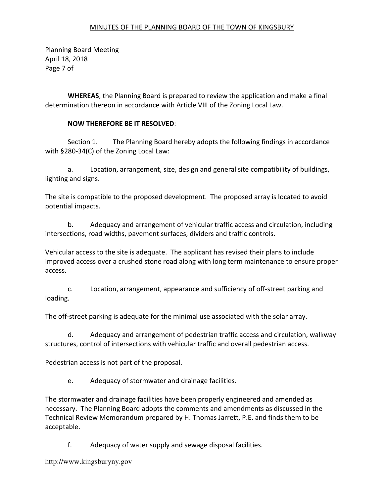Planning Board Meeting April 18, 2018 Page 7 of

WHEREAS, the Planning Board is prepared to review the application and make a final determination thereon in accordance with Article VIII of the Zoning Local Law.

# NOW THEREFORE BE IT RESOLVED:

 Section 1. The Planning Board hereby adopts the following findings in accordance with §280-34(C) of the Zoning Local Law:

 a. Location, arrangement, size, design and general site compatibility of buildings, lighting and signs.

The site is compatible to the proposed development. The proposed array is located to avoid potential impacts.

 b. Adequacy and arrangement of vehicular traffic access and circulation, including intersections, road widths, pavement surfaces, dividers and traffic controls.

Vehicular access to the site is adequate. The applicant has revised their plans to include improved access over a crushed stone road along with long term maintenance to ensure proper access.

 c. Location, arrangement, appearance and sufficiency of off-street parking and loading.

The off-street parking is adequate for the minimal use associated with the solar array.

 d. Adequacy and arrangement of pedestrian traffic access and circulation, walkway structures, control of intersections with vehicular traffic and overall pedestrian access.

Pedestrian access is not part of the proposal.

e. Adequacy of stormwater and drainage facilities.

The stormwater and drainage facilities have been properly engineered and amended as necessary. The Planning Board adopts the comments and amendments as discussed in the Technical Review Memorandum prepared by H. Thomas Jarrett, P.E. and finds them to be acceptable.

f. Adequacy of water supply and sewage disposal facilities.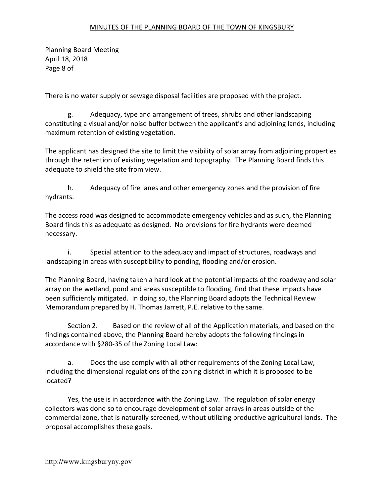Planning Board Meeting April 18, 2018 Page 8 of

There is no water supply or sewage disposal facilities are proposed with the project.

 g. Adequacy, type and arrangement of trees, shrubs and other landscaping constituting a visual and/or noise buffer between the applicant's and adjoining lands, including maximum retention of existing vegetation.

The applicant has designed the site to limit the visibility of solar array from adjoining properties through the retention of existing vegetation and topography. The Planning Board finds this adequate to shield the site from view.

 h. Adequacy of fire lanes and other emergency zones and the provision of fire hydrants.

The access road was designed to accommodate emergency vehicles and as such, the Planning Board finds this as adequate as designed. No provisions for fire hydrants were deemed necessary.

 i. Special attention to the adequacy and impact of structures, roadways and landscaping in areas with susceptibility to ponding, flooding and/or erosion.

The Planning Board, having taken a hard look at the potential impacts of the roadway and solar array on the wetland, pond and areas susceptible to flooding, find that these impacts have been sufficiently mitigated. In doing so, the Planning Board adopts the Technical Review Memorandum prepared by H. Thomas Jarrett, P.E. relative to the same.

 Section 2. Based on the review of all of the Application materials, and based on the findings contained above, the Planning Board hereby adopts the following findings in accordance with §280-35 of the Zoning Local Law:

 a. Does the use comply with all other requirements of the Zoning Local Law, including the dimensional regulations of the zoning district in which it is proposed to be located?

 Yes, the use is in accordance with the Zoning Law. The regulation of solar energy collectors was done so to encourage development of solar arrays in areas outside of the commercial zone, that is naturally screened, without utilizing productive agricultural lands. The proposal accomplishes these goals.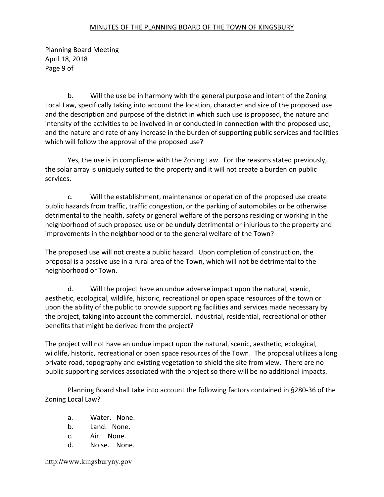Planning Board Meeting April 18, 2018 Page 9 of

 b. Will the use be in harmony with the general purpose and intent of the Zoning Local Law, specifically taking into account the location, character and size of the proposed use and the description and purpose of the district in which such use is proposed, the nature and intensity of the activities to be involved in or conducted in connection with the proposed use, and the nature and rate of any increase in the burden of supporting public services and facilities which will follow the approval of the proposed use?

 Yes, the use is in compliance with the Zoning Law. For the reasons stated previously, the solar array is uniquely suited to the property and it will not create a burden on public services.

 c. Will the establishment, maintenance or operation of the proposed use create public hazards from traffic, traffic congestion, or the parking of automobiles or be otherwise detrimental to the health, safety or general welfare of the persons residing or working in the neighborhood of such proposed use or be unduly detrimental or injurious to the property and improvements in the neighborhood or to the general welfare of the Town?

The proposed use will not create a public hazard. Upon completion of construction, the proposal is a passive use in a rural area of the Town, which will not be detrimental to the neighborhood or Town.

 d. Will the project have an undue adverse impact upon the natural, scenic, aesthetic, ecological, wildlife, historic, recreational or open space resources of the town or upon the ability of the public to provide supporting facilities and services made necessary by the project, taking into account the commercial, industrial, residential, recreational or other benefits that might be derived from the project?

The project will not have an undue impact upon the natural, scenic, aesthetic, ecological, wildlife, historic, recreational or open space resources of the Town. The proposal utilizes a long private road, topography and existing vegetation to shield the site from view. There are no public supporting services associated with the project so there will be no additional impacts.

 Planning Board shall take into account the following factors contained in §280-36 of the Zoning Local Law?

- a. Water. None.
- b. Land. None.
- c. Air. None.
- d. Noise. None.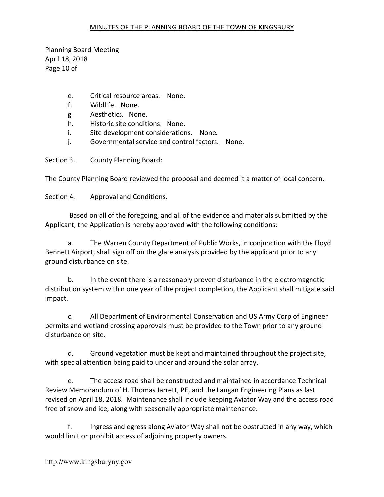Planning Board Meeting April 18, 2018 Page 10 of

- e. Critical resource areas. None.
- f. Wildlife. None.
- g. Aesthetics. None.
- h. Historic site conditions. None.
- i. Site development considerations. None.
- j. Governmental service and control factors. None.

Section 3. County Planning Board:

The County Planning Board reviewed the proposal and deemed it a matter of local concern.

Section 4. Approval and Conditions.

 Based on all of the foregoing, and all of the evidence and materials submitted by the Applicant, the Application is hereby approved with the following conditions:

a. The Warren County Department of Public Works, in conjunction with the Floyd Bennett Airport, shall sign off on the glare analysis provided by the applicant prior to any ground disturbance on site.

b. In the event there is a reasonably proven disturbance in the electromagnetic distribution system within one year of the project completion, the Applicant shall mitigate said impact.

c. All Department of Environmental Conservation and US Army Corp of Engineer permits and wetland crossing approvals must be provided to the Town prior to any ground disturbance on site.

d. Ground vegetation must be kept and maintained throughout the project site, with special attention being paid to under and around the solar array.

e. The access road shall be constructed and maintained in accordance Technical Review Memorandum of H. Thomas Jarrett, PE, and the Langan Engineering Plans as last revised on April 18, 2018. Maintenance shall include keeping Aviator Way and the access road free of snow and ice, along with seasonally appropriate maintenance.

f. Ingress and egress along Aviator Way shall not be obstructed in any way, which would limit or prohibit access of adjoining property owners.